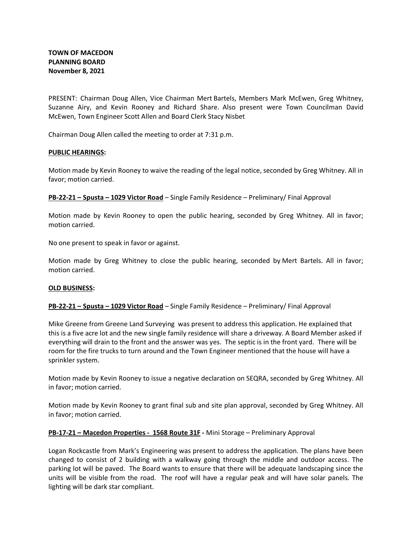PRESENT: Chairman Doug Allen, Vice Chairman Mert Bartels, Members Mark McEwen, Greg Whitney, Suzanne Airy, and Kevin Rooney and Richard Share. Also present were Town Councilman David McEwen, Town Engineer Scott Allen and Board Clerk Stacy Nisbet

Chairman Doug Allen called the meeting to order at 7:31 p.m.

## **PUBLIC HEARINGS:**

Motion made by Kevin Rooney to waive the reading of the legal notice, seconded by Greg Whitney. All in favor; motion carried.

**PB-22-21 – Spusta – 1029 Victor Road** – Single Family Residence – Preliminary/ Final Approval

Motion made by Kevin Rooney to open the public hearing, seconded by Greg Whitney. All in favor; motion carried.

No one present to speak in favor or against.

Motion made by Greg Whitney to close the public hearing, seconded by Mert Bartels. All in favor; motion carried.

## **OLD BUSINESS:**

# **PB-22-21 – Spusta – 1029 Victor Road** – Single Family Residence – Preliminary/ Final Approval

Mike Greene from Greene Land Surveying was present to address this application. He explained that this is a five acre lot and the new single family residence will share a driveway. A Board Member asked if everything will drain to the front and the answer was yes. The septic is in the front yard. There will be room for the fire trucks to turn around and the Town Engineer mentioned that the house will have a sprinkler system.

Motion made by Kevin Rooney to issue a negative declaration on SEQRA, seconded by Greg Whitney. All in favor; motion carried.

Motion made by Kevin Rooney to grant final sub and site plan approval, seconded by Greg Whitney. All in favor; motion carried.

## **PB-17-21 – Macedon Properties - 1568 Route 31F -** Mini Storage – Preliminary Approval

Logan Rockcastle from Mark's Engineering was present to address the application. The plans have been changed to consist of 2 building with a walkway going through the middle and outdoor access. The parking lot will be paved. The Board wants to ensure that there will be adequate landscaping since the units will be visible from the road. The roof will have a regular peak and will have solar panels. The lighting will be dark star compliant.